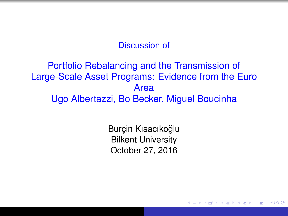#### Discussion of

### Portfolio Rebalancing and the Transmission of Large-Scale Asset Programs: Evidence from the Euro Area Ugo Albertazzi, Bo Becker, Miguel Boucinha

Burcin Kısacıkoğlu Bilkent University October 27, 2016

 $2Q$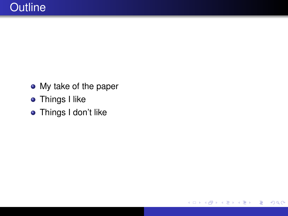• My take of the paper

重  $2990$ 

イロト イ部 トイ磨 トイ磨 ト

- **•** Things I like
- **o** Things I don't like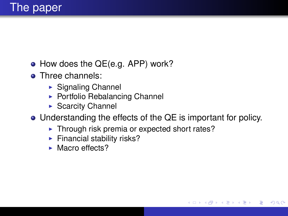- How does the QE(e.g. APP) work?
- Three channels:
	- $\blacktriangleright$  Signaling Channel
	- $\triangleright$  Portfolio Rebalancing Channel
	- $\triangleright$  Scarcity Channel
- Understanding the effects of the QE is important for policy.

**≮ロ ▶ ⊀ 御 ▶ ⊀ 君 ▶ ⊀ 君 ▶** 

つへへ

- $\blacktriangleright$  Through risk premia or expected short rates?
- $\blacktriangleright$  Financial stability risks?
- $\blacktriangleright$  Macro effects?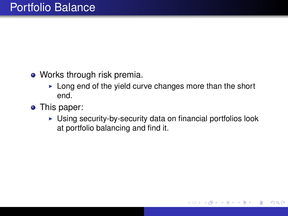- Works through risk premia.
	- $\blacktriangleright$  Long end of the yield curve changes more than the short end.
- This paper:
	- $\triangleright$  Using security-by-security data on financial portfolios look at portfolio balancing and find it.

**K ロ ト K 伊 ト K ヨ ト K** 

重き

 $QQ$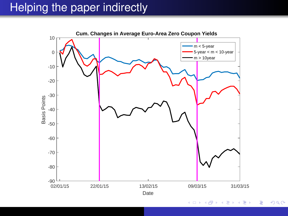# Helping the paper indirectly



K ロ ト K 個 ト K 君 ト K 君 ト (  $\equiv$  $299$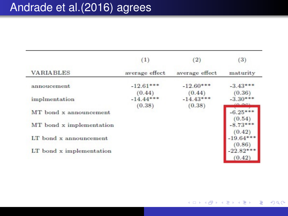| <b>VARIABLES</b>           | (1)<br>average effect | $\left( 2\right)$<br>average effect | (3)<br>maturity    |
|----------------------------|-----------------------|-------------------------------------|--------------------|
|                            |                       |                                     |                    |
| implmentation              | $-14.44***$<br>(0.38) | $-14.43***$<br>(0.38)               | $-3.30*$<br>(0,00) |
| MT bond x announcement     |                       |                                     | $-6.25$<br>(0.54   |
| MT bond x implementation   |                       |                                     | $-8.73$<br>(0.42)  |
| $LT$ bond $x$ announcement |                       |                                     | 0.86               |
| LT bond x implementation   |                       |                                     | -22.82<br>(0.42)   |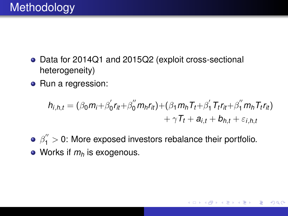- Data for 2014Q1 and 2015Q2 (exploit cross-sectional heterogeneity)
- Run a regression:

$$
h_{i,h,t} = (\beta_0 m_i + \beta'_0 r_{it} + \beta''_0 m_h r_{it}) + (\beta_1 m_h T_t + \beta'_1 T_t r_{it} + \beta''_1 m_h T_t r_{it}) + \gamma T_t + a_{i,t} + b_{h,t} + \varepsilon_{i,h,t}
$$

**K ロ ト K 伊 ト K ヨ ト K** 

 $QQ$ 

 $\beta_{1}^{''}>$  0: More exposed investors rebalance their portfolio. • Works if  $m_h$  is exogenous.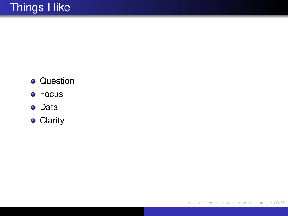- **•** Question
- **•** Focus
- Data
- **•** Clarity

メロメメ 御きメモ メモン

 $E$   $\Omega$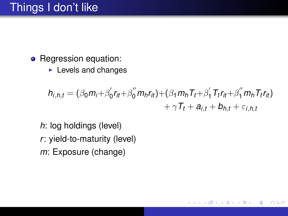- Regression equation:
	- $\blacktriangleright$  Levels and changes

$$
h_{i,h,t} = (\beta_0 m_i + \beta_0' r_{it} + \beta_0'' m_h r_{it}) + (\beta_1 m_h T_t + \beta_1' T_t r_{it} + \beta_1'' m_h T_t r_{it})
$$
  
+  $\gamma T_t + a_{i,t} + b_{h,t} + \varepsilon_{i,h,t}$ 

4日下

**K 何 ▶ K 臣 ▶ K** 

 $299$ 

ă,

重

*h*: log holdings (level) *r*: yield-to-maturity (level) *m*: Exposure (change)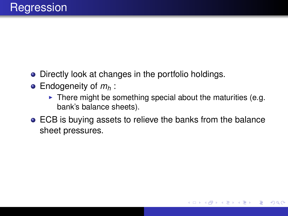- Directly look at changes in the portfolio holdings.
- Endogeneity of *m<sup>h</sup>* :
	- $\blacktriangleright$  There might be something special about the maturities (e.g. bank's balance sheets).

イロト イ部 トイ磨 トイ磨 ト

 $2Q$ 

ECB is buying assets to relieve the banks from the balance sheet pressures.